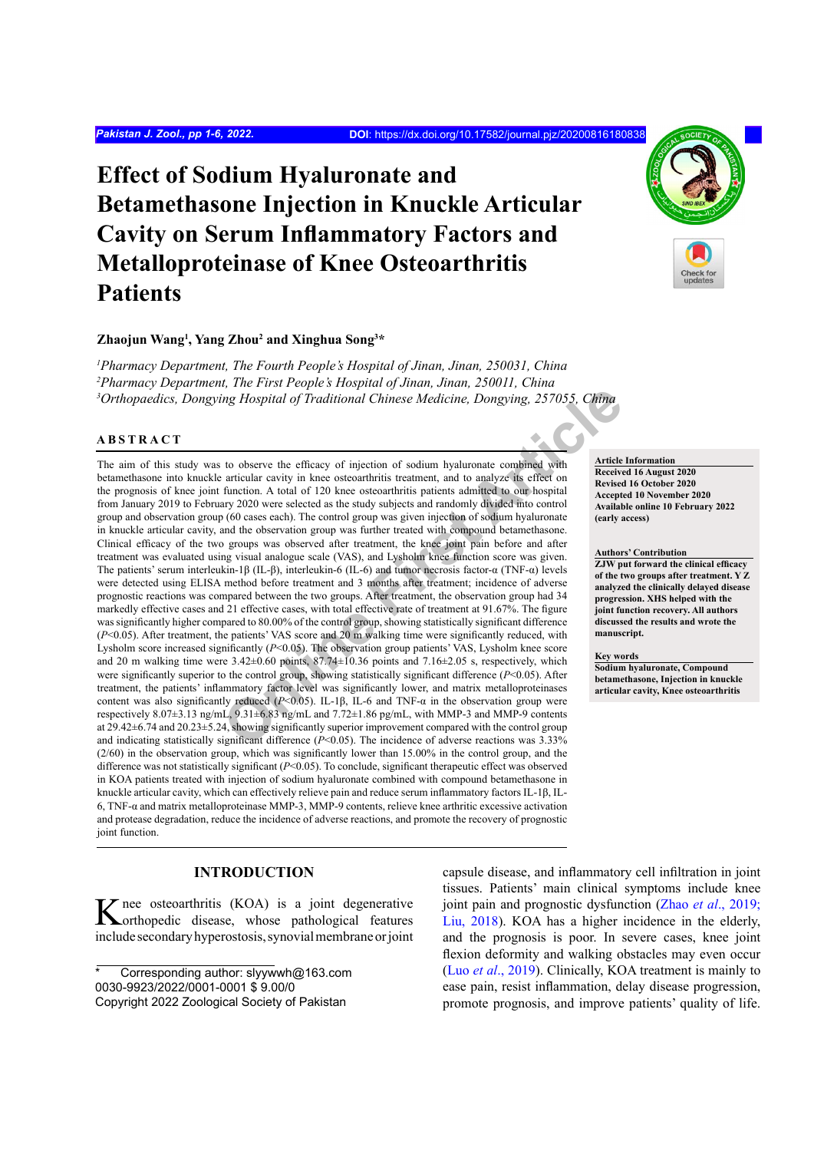# **Effect of Sodium Hyaluronate and Betamethasone Injection in Knuckle Articular Cavity on Serum Inflammatory Factors and Metalloproteinase of Knee Osteoarthritis Patients**

#### **Zhaojun Wang1 , Yang Zhou2 and Xinghua Song3 \***

*1 Pharmacy Department, The Fourth People's Hospital of Jinan, Jinan, 250031, China 2 Pharmacy Department, The First People's Hospital of Jinan, Jinan, 250011, China 3 Orthopaedics, Dongying Hospital of Traditional Chinese Medicine, Dongying, 257055, China*

#### **ABSTRACT**

*Ing Hospital of Traditional Chinese Medicine, Dongying, 257055, China<br>
to observe the efficery of injection of sodium hyaluronate combined with<br>
to observe the efficery of injection of sodium hyaluronate combined with<br>
ta* The aim of this study was to observe the efficacy of injection of sodium hyaluronate combined with betamethasone into knuckle articular cavity in knee osteoarthritis treatment, and to analyze its effect on the prognosis of knee joint function. A total of 120 knee osteoarthritis patients admitted to our hospital from January 2019 to February 2020 were selected as the study subjects and randomly divided into control group and observation group (60 cases each). The control group was given injection of sodium hyaluronate in knuckle articular cavity, and the observation group was further treated with compound betamethasone. Clinical efficacy of the two groups was observed after treatment, the knee joint pain before and after treatment was evaluated using visual analogue scale (VAS), and Lysholm knee function score was given. The patients' serum interleukin-1β (IL-β), interleukin-6 (IL-6) and tumor necrosis factor-α (TNF-α) levels were detected using ELISA method before treatment and 3 months after treatment; incidence of adverse prognostic reactions was compared between the two groups. After treatment, the observation group had 34 markedly effective cases and 21 effective cases, with total effective rate of treatment at 91.67%. The figure was significantly higher compared to 80.00% of the control group, showing statistically significant difference (*P*<0.05). After treatment, the patients' VAS score and 20 m walking time were significantly reduced, with Lysholm score increased significantly (*P*<0.05). The observation group patients' VAS, Lysholm knee score and 20 m walking time were 3.42±0.60 points, 87.74±10.36 points and 7.16±2.05 s, respectively, which were significantly superior to the control group, showing statistically significant difference (*P*<0.05). After treatment, the patients' inflammatory factor level was significantly lower, and matrix metalloproteinases content was also significantly reduced (*P*<0.05). IL-1β, IL-6 and TNF-α in the observation group were respectively 8.07±3.13 ng/mL, 9.31±6.83 ng/mL and 7.72±1.86 pg/mL, with MMP-3 and MMP-9 contents at 29.42±6.74 and 20.23±5.24, showing significantly superior improvement compared with the control group and indicating statistically significant difference (*P*<0.05). The incidence of adverse reactions was 3.33% (2/60) in the observation group, which was significantly lower than 15.00% in the control group, and the difference was not statistically significant (*P*<0.05). To conclude, significant therapeutic effect was observed in KOA patients treated with injection of sodium hyaluronate combined with compound betamethasone in knuckle articular cavity, which can effectively relieve pain and reduce serum inflammatory factors IL-1β, IL-6, TNF-α and matrix metalloproteinase MMP-3, MMP-9 contents, relieve knee arthritic excessive activation and protease degradation, reduce the incidence of adverse reactions, and promote the recovery of prognostic joint function.

# **INTRODUCTION**

K nee osteoarthritis (KOA) is a joint degenerative corthopedic disease, whose pathological features include secondary hyperostosis, synovial membrane or joint capsule disease, and inflammatory cell infiltration in joint tissues. Patients' main clinical symptoms include knee joint pain and prognostic dysfunction (Zhao *et al*[., 2019;](#page-5-0) [Liu, 2018\)](#page-4-0). KOA has a higher incidence in the elderly, and the prognosis is poor. In severe cases, knee joint flexion deformity and walking obstacles may even occur (Luo *et al*[., 2019\)](#page-5-1). Clinically, KOA treatment is mainly to ease pain, resist inflammation, delay disease progression, promote prognosis, and improve patients' quality of life.

**Article Information Received 16 August 2020 Revised 16 October 2020 Accepted 10 November 2020 Available online 10 February 2022 (early access)**

#### **Authors' Contribution**

**ZJW put forward the clinical efficacy of the two groups after treatment. Y Z analyzed the clinically delayed disease progression. XHS helped with the joint function recovery. All authors discussed the results and wrote the manuscript.**

**Key words**

**Sodium hyaluronate, Compound betamethasone, Injection in knuckle articular cavity, Knee osteoarthritis**



Corresponding author: slyywwh@163.com 0030-9923/2022/0001-0001 \$ 9.00/0 Copyright 2022 Zoological Society of Pakistan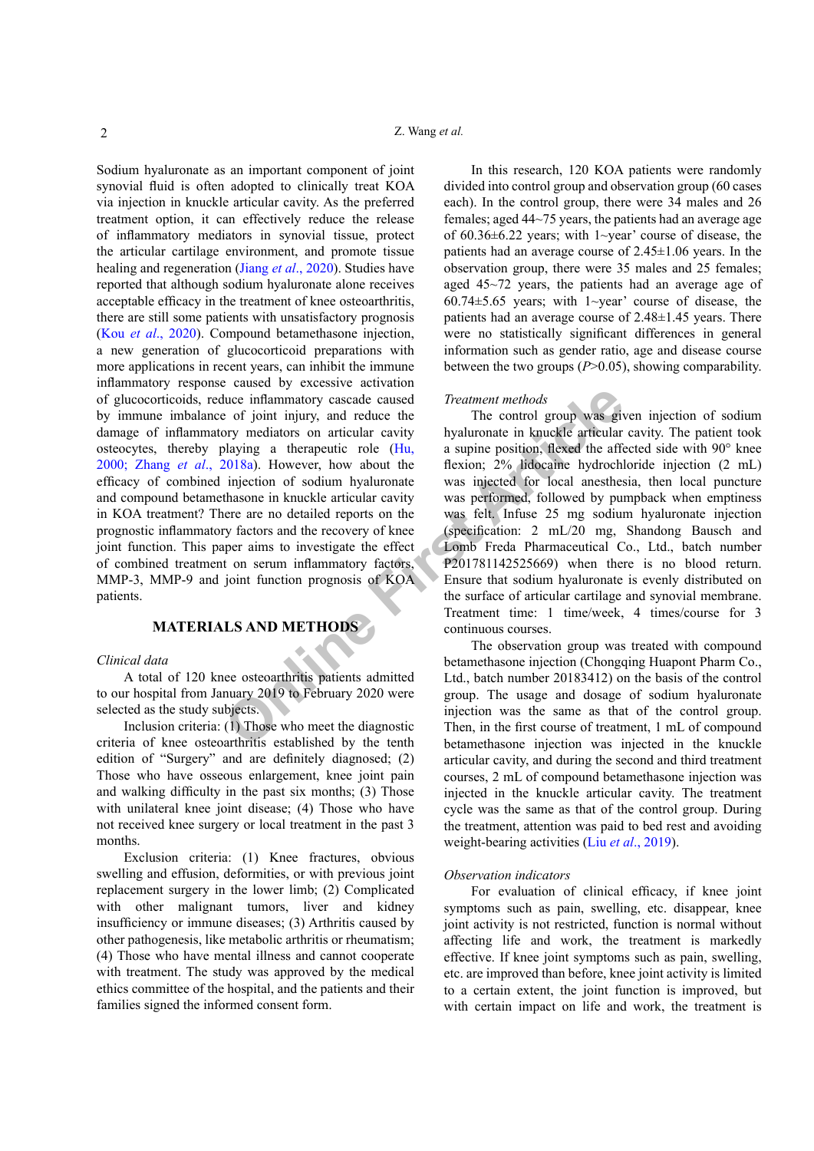**Online First Article** Sodium hyaluronate as an important component of joint synovial fluid is often adopted to clinically treat KOA via injection in knuckle articular cavity. As the preferred treatment option, it can effectively reduce the release of inflammatory mediators in synovial tissue, protect the articular cartilage environment, and promote tissue healing and regeneration (Jiang *et al*[., 2020\)](#page-4-1). Studies have reported that although sodium hyaluronate alone receives acceptable efficacy in the treatment of knee osteoarthritis, there are still some patients with unsatisfactory prognosis (Kou *et al*[., 2020\)](#page-4-2). Compound betamethasone injection, a new generation of glucocorticoid preparations with more applications in recent years, can inhibit the immune inflammatory response caused by excessive activation of glucocorticoids, reduce inflammatory cascade caused by immune imbalance of joint injury, and reduce the damage of inflammatory mediators on articular cavity osteocytes, thereby playing a therapeutic role (Hu, [2000;](#page-4-3) Zhang *et al*[., 2018a](#page-5-2)). However, how about the efficacy of combined injection of sodium hyaluronate and compound betamethasone in knuckle articular cavity in KOA treatment? There are no detailed reports on the prognostic inflammatory factors and the recovery of knee joint function. This paper aims to investigate the effect of combined treatment on serum inflammatory factors, MMP-3, MMP-9 and joint function prognosis of KOA patients.

# **MATERIALS AND METHODS**

#### *Clinical data*

A total of 120 knee osteoarthritis patients admitted to our hospital from January 2019 to February 2020 were selected as the study subjects.

Inclusion criteria: (1) Those who meet the diagnostic criteria of knee osteoarthritis established by the tenth edition of "Surgery" and are definitely diagnosed; (2) Those who have osseous enlargement, knee joint pain and walking difficulty in the past six months; (3) Those with unilateral knee joint disease; (4) Those who have not received knee surgery or local treatment in the past 3 months.

Exclusion criteria: (1) Knee fractures, obvious swelling and effusion, deformities, or with previous joint replacement surgery in the lower limb; (2) Complicated with other malignant tumors, liver and kidney insufficiency or immune diseases; (3) Arthritis caused by other pathogenesis, like metabolic arthritis or rheumatism; (4) Those who have mental illness and cannot cooperate with treatment. The study was approved by the medical ethics committee of the hospital, and the patients and their families signed the informed consent form.

In this research, 120 KOA patients were randomly divided into control group and observation group (60 cases each). In the control group, there were 34 males and 26 females; aged 44~75 years, the patients had an average age of  $60.36\pm6.22$  years; with 1~year' course of disease, the patients had an average course of 2.45±1.06 years. In the observation group, there were 35 males and 25 females; aged 45~72 years, the patients had an average age of 60.74 $\pm$ 5.65 years; with 1~year' course of disease, the patients had an average course of 2.48±1.45 years. There were no statistically significant differences in general information such as gender ratio, age and disease course between the two groups (*P*>0.05), showing comparability.

# *Treatment methods*

The control group was given injection of sodium hyaluronate in knuckle articular cavity. The patient took a supine position, flexed the affected side with 90° knee flexion; 2% lidocaine hydrochloride injection (2 mL) was injected for local anesthesia, then local puncture was performed, followed by pumpback when emptiness was felt. Infuse 25 mg sodium hyaluronate injection (specification: 2 mL/20 mg, Shandong Bausch and Lomb Freda Pharmaceutical Co., Ltd., batch number P201781142525669) when there is no blood return. Ensure that sodium hyaluronate is evenly distributed on the surface of articular cartilage and synovial membrane. Treatment time: 1 time/week, 4 times/course for 3 continuous courses.

The observation group was treated with compound betamethasone injection (Chongqing Huapont Pharm Co., Ltd., batch number 20183412) on the basis of the control group. The usage and dosage of sodium hyaluronate injection was the same as that of the control group. Then, in the first course of treatment, 1 mL of compound betamethasone injection was injected in the knuckle articular cavity, and during the second and third treatment courses, 2 mL of compound betamethasone injection was injected in the knuckle articular cavity. The treatment cycle was the same as that of the control group. During the treatment, attention was paid to bed rest and avoiding weight-bearing activities (Liu *et al*[., 2019](#page-4-0)).

#### *Observation indicators*

For evaluation of clinical efficacy, if knee joint symptoms such as pain, swelling, etc. disappear, knee joint activity is not restricted, function is normal without affecting life and work, the treatment is markedly effective. If knee joint symptoms such as pain, swelling, etc. are improved than before, knee joint activity is limited to a certain extent, the joint function is improved, but with certain impact on life and work, the treatment is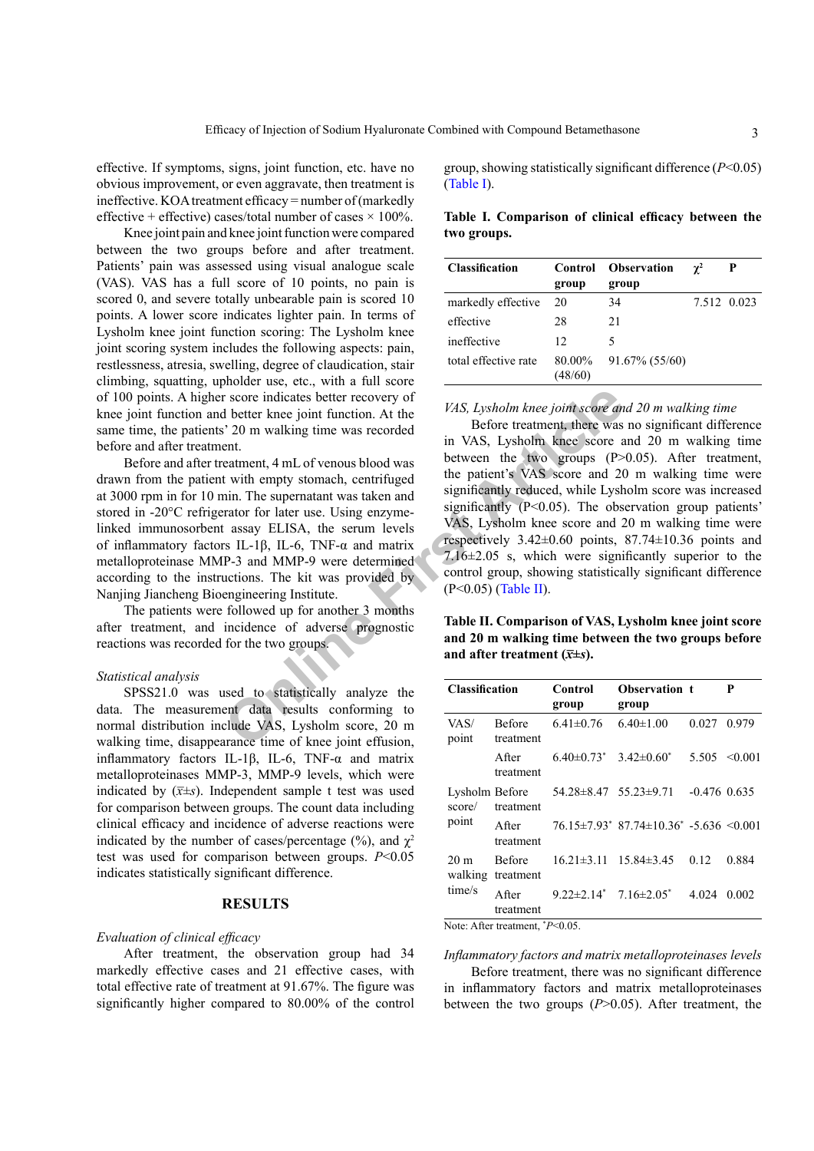effective. If symptoms, signs, joint function, etc. have no obvious improvement, or even aggravate, then treatment is ineffective. KOA treatment efficacy = number of (markedly effective + effective) cases/total number of cases  $\times$  100%.

Knee joint pain and knee joint function were compared between the two groups before and after treatment. Patients' pain was assessed using visual analogue scale (VAS). VAS has a full score of 10 points, no pain is scored 0, and severe totally unbearable pain is scored 10 points. A lower score indicates lighter pain. In terms of Lysholm knee joint function scoring: The Lysholm knee joint scoring system includes the following aspects: pain, restlessness, atresia, swelling, degree of claudication, stair climbing, squatting, upholder use, etc., with a full score of 100 points. A higher score indicates better recovery of knee joint function and better knee joint function. At the same time, the patients' 20 m walking time was recorded before and after treatment.

Before and after treatment, 4 mL of venous blood was drawn from the patient with empty stomach, centrifuged at 3000 rpm in for 10 min. The supernatant was taken and stored in -20°C refrigerator for later use. Using enzymelinked immunosorbent assay ELISA, the serum levels of inflammatory factors IL-1β, IL-6, TNF-α and matrix metalloproteinase MMP-3 and MMP-9 were determined according to the instructions. The kit was provided by Nanjing Jiancheng Bioengineering Institute.

The patients were followed up for another 3 months after treatment, and incidence of adverse prognostic reactions was recorded for the two groups.

### *Statistical analysis*

SPSS21.0 was used to statistically analyze the data. The measurement data results conforming to normal distribution include VAS, Lysholm score, 20 m walking time, disappearance time of knee joint effusion, inflammatory factors IL-1β, IL-6, TNF-α and matrix metalloproteinases MMP-3, MMP-9 levels, which were indicated by  $(\bar{x} \pm s)$ . Independent sample t test was used for comparison between groups. The count data including clinical efficacy and incidence of adverse reactions were indicated by the number of cases/percentage  $(\frac{9}{6})$ , and  $\gamma^2$ test was used for comparison between groups. *P*<0.05 indicates statistically significant difference.

## **RESULTS**

# *Evaluation of clinical efficacy*

After treatment, the observation group had 34 markedly effective cases and 21 effective cases, with total effective rate of treatment at 91.67%. The figure was significantly higher compared to 80.00% of the control

group, showing statistically significant difference (*P*<0.05) [\(Table I](#page-2-0)).

<span id="page-2-0"></span>**Table I. Comparison of clinical efficacy between the two groups.**

| <b>Classification</b> | Control           | <b>Observation</b> | $\gamma^2$ | P           |
|-----------------------|-------------------|--------------------|------------|-------------|
|                       | group             | group              |            |             |
| markedly effective    | 20                | 34                 |            | 7.512 0.023 |
| effective             | 28                | 21                 |            |             |
| ineffective           | 12                | 5                  |            |             |
| total effective rate  | 80.00%<br>(48/60) | 91.67% (55/60)     |            |             |

*VAS, Lysholm knee joint score and 20 m walking time*

**EXECUTE:** The superioristic and MMP-9 were eigenvectively to the two groups (P)<br>
The superioristic Article are the matricle was absented the mpty stomach, centrifuged between the two groups (P)<br>
twith empty stomach, cent Before treatment, there was no significant difference in VAS, Lysholm knee score and 20 m walking time between the two groups (P>0.05). After treatment, the patient's VAS score and 20 m walking time were significantly reduced, while Lysholm score was increased significantly (P<0.05). The observation group patients' VAS, Lysholm knee score and 20 m walking time were respectively  $3.42\pm0.60$  points,  $87.74\pm10.36$  points and 7.16±2.05 s, which were significantly superior to the control group, showing statistically significant difference (P<0.05) (Table II).

<span id="page-2-1"></span>**Table II. Comparison of VAS, Lysholm knee joint score and 20 m walking time between the two groups before**  and after treatment  $(\bar{x} \pm s)$ .

| <b>Classification</b>                |                            | Control<br>group                    | <b>Observation t</b><br>group                        |                | P            |
|--------------------------------------|----------------------------|-------------------------------------|------------------------------------------------------|----------------|--------------|
| VAS/<br>point                        | <b>Before</b><br>treatment | $6.41\pm0.76$                       | $6.40 \pm 1.00$                                      | 0.027          | 0.979        |
|                                      | A fter<br>treatment        | $6.40\pm0.73^*$ $3.42\pm0.60^*$     |                                                      | 5.505          | $\leq 0.001$ |
| Lysholm Before<br>score/             | treatment                  | $54.28 \pm 8.47$ $55.23 \pm 9.71$   |                                                      | $-0.476$ 0.635 |              |
| point                                | A fter<br>treatment        |                                     | $76.15\pm7.93$ $87.74\pm10.36$ $-5.636$ $\leq$ 0.001 |                |              |
| 20 <sub>m</sub><br>walking<br>time/s | <b>Before</b><br>treatment | $16.21 \pm 3.11$ $15.84 \pm 3.45$   |                                                      | 0.12           | 0.884        |
|                                      | A fter<br>treatment        | $9.22 \pm 2.14^*$ 7.16 $\pm 2.05^*$ |                                                      | 4.024          | 0.002        |

Note: After treatment, \* *P*<0.05.

*Inflammatory factors and matrix metalloproteinases levels*

Before treatment, there was no significant difference in inflammatory factors and matrix metalloproteinases between the two groups (*P*>0.05). After treatment, the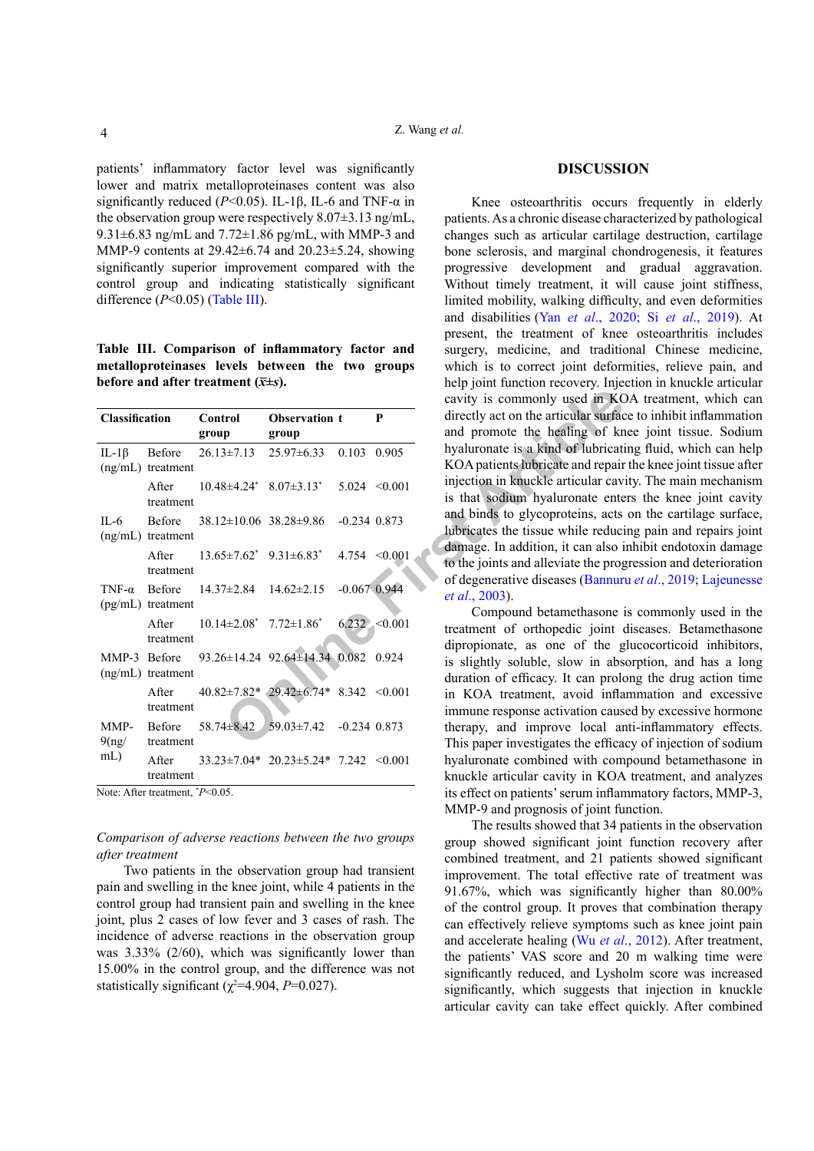patients' inflammatory factor level was significantly lower and matrix metalloproteinases content was also significantly reduced ( $P$ <0.05). IL-1 $\beta$ , IL-6 and TNF- $\alpha$  in the observation group were respectively 8.07±3.13 ng/mL, 9.31 $\pm$ 6.83 ng/mL and 7.72 $\pm$ 1.86 pg/mL, with MMP-3 and MMP-9 contents at 29.42±6.74 and 20.23±5.24, showing significantly superior improvement compared with the control group and indicating statistically significant difference (*P*<0.05) [\(Table III\)](#page-3-0).

<span id="page-3-0"></span>**Table III. Comparison of inflammatory factor and metalloproteinases levels between the two groups before and after treatment**  $(\overline{x} \pm s)$ **.** 

|                |                                         |                                      |                                                     |                  |                   | cavity is commonly used in KC                                                                 |
|----------------|-----------------------------------------|--------------------------------------|-----------------------------------------------------|------------------|-------------------|-----------------------------------------------------------------------------------------------|
| Classification |                                         | Control<br>group                     | Observation t<br>group                              |                  | P                 | directly act on the articular surface<br>and promote the healing of kn                        |
| IL-1 $\beta$   | Before<br>$(ng/mL)$ treatment           | $26.13 \pm 7.13$                     | 25.97±6.33 0.103 0.905                              |                  |                   | hyaluronate is a kind of lubricati<br>KOA patients lubricate and repair                       |
|                | After<br>treatment                      |                                      | $10.48 \pm 4.24$ $8.07 \pm 3.13$ $*$                |                  | $5.024 \le 0.001$ | injection in knuckle articular cav<br>is that sodium hyaluronate ente                         |
| $IL-6$         | Before<br>(ng/mL) treatment             | $38.12 \pm 10.06$ $38.28 \pm 9.86$   |                                                     | $-0.234$ $0.873$ |                   | and binds to glycoproteins, acts<br>lubricates the tissue while reduci                        |
|                | After<br>treatment                      |                                      | $13.65 \pm 7.62^*$ $9.31 \pm 6.83^*$                |                  | $4.754 \le 0.001$ | damage. In addition, it can also i<br>to the joints and alleviate the prog                    |
| TNF- $\alpha$  | <b>Before</b><br>$(pg/mL)$ treatment    | 14.37±2.84                           | $14.62 \pm 2.15$                                    | $-0.067$ 0.944   |                   | of degenerative diseases (Bannur<br><i>et al.</i> , 2003).                                    |
|                | After<br>treatment                      | $10.14 \pm 2.08^*$ 7.72 $\pm 1.86^*$ |                                                     |                  | 6.232 < 0.001     | Compound betamethasone i<br>treatment of orthopedic joint of<br>dipropionate, as one of the g |
| MMP-3 Before   | $(ng/mL)$ treatment                     |                                      | 93.26±14.24 92.64±14.34 0.082 0.924                 |                  |                   | is slightly soluble, slow in abs<br>duration of efficacy. It can prole                        |
|                | After<br>treatment                      |                                      | $40.82 \pm 7.82$ * $29.42 \pm 6.74$ * 8.342 < 0.001 |                  |                   | in KOA treatment, avoid infla<br>immune response activation caus                              |
| MMP-<br>9(ng)  | Before<br>treatment                     | $58.74 \pm 8.42$                     | $59.03 \pm 7.42$ -0.234 0.873                       |                  |                   | therapy, and improve local are<br>This paper investigates the effical                         |
| mL)            | After<br>treatment                      |                                      | $33.23 \pm 7.04*$ 20.23 $\pm 5.24*$ 7.242 < 0.001   |                  |                   | hyaluronate combined with com<br>knuckle articular cavity in KOA                              |
|                | Note: After treatment, <i>*P</i> <0.05. |                                      |                                                     |                  |                   | its effect on patients' serum inflant                                                         |

*Comparison of adverse reactions between the two groups after treatment*

Two patients in the observation group had transient pain and swelling in the knee joint, while 4 patients in the control group had transient pain and swelling in the knee joint, plus 2 cases of low fever and 3 cases of rash. The incidence of adverse reactions in the observation group was 3.33% (2/60), which was significantly lower than 15.00% in the control group, and the difference was not statistically significant  $(\chi^2=4.904, P=0.027)$ .

#### **DISCUSSION**

Knee osteoarthritis occurs frequently in elderly patients. As a chronic disease characterized by pathological changes such as articular cartilage destruction, cartilage bone sclerosis, and marginal chondrogenesis, it features progressive development and gradual aggravation. Without timely treatment, it will cause joint stiffness, limited mobility, walking difficulty, and even deformities and disabilities (Yan *et al*[., 2020;](#page-5-3) Si *et al*[., 2019](#page-5-4)). At present, the treatment of knee osteoarthritis includes surgery, medicine, and traditional Chinese medicine, which is to correct joint deformities, relieve pain, and help joint function recovery. Injection in knuckle articular cavity is commonly used in KOA treatment, which can directly act on the articular surface to inhibit inflammation and promote the healing of knee joint tissue. Sodium hyaluronate is a kind of lubricating fluid, which can help KOA patients lubricate and repair the knee joint tissue after injection in knuckle articular cavity. The main mechanism is that sodium hyaluronate enters the knee joint cavity and binds to glycoproteins, acts on the cartilage surface, lubricates the tissue while reducing pain and repairs joint damage. In addition, it can also inhibit endotoxin damage to the joints and alleviate the progression and deterioration of degenerative diseases (Bannuru *et al*., 2019; [Lajeunesse](#page-4-5)  *et al*., 2003).

Compound betamethasone is commonly used in the treatment of orthopedic joint diseases. Betamethasone dipropionate, as one of the glucocorticoid inhibitors, is slightly soluble, slow in absorption, and has a long duration of efficacy. It can prolong the drug action time in KOA treatment, avoid inflammation and excessive immune response activation caused by excessive hormone therapy, and improve local anti-inflammatory effects. This paper investigates the efficacy of injection of sodium hyaluronate combined with compound betamethasone in knuckle articular cavity in KOA treatment, and analyzes its effect on patients' serum inflammatory factors, MMP-3, MMP-9 and prognosis of joint function.

The results showed that 34 patients in the observation group showed significant joint function recovery after combined treatment, and 21 patients showed significant improvement. The total effective rate of treatment was 91.67%, which was significantly higher than 80.00% of the control group. It proves that combination therapy can effectively relieve symptoms such as knee joint pain and accelerate healing (Wu *et al*[., 2012](#page-5-5)). After treatment, the patients' VAS score and 20 m walking time were significantly reduced, and Lysholm score was increased significantly, which suggests that injection in knuckle articular cavity can take effect quickly. After combined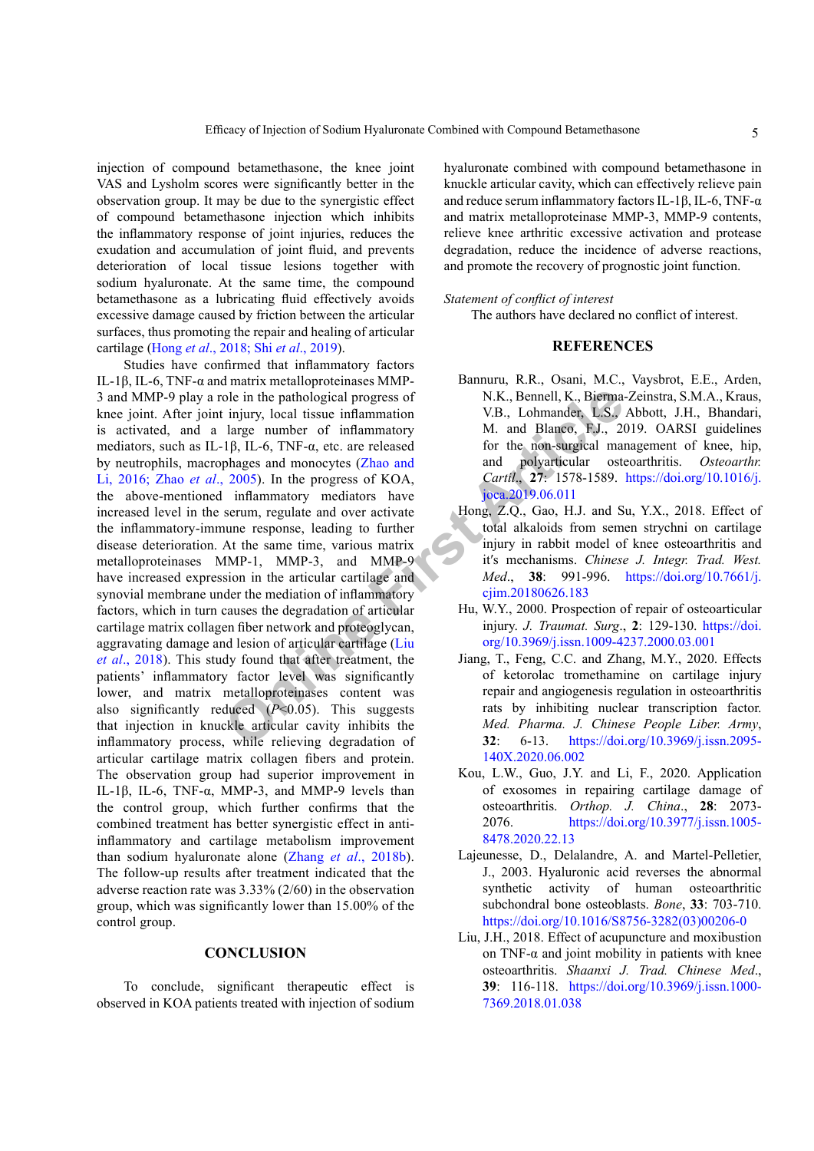injection of compound betamethasone, the knee joint VAS and Lysholm scores were significantly better in the observation group. It may be due to the synergistic effect of compound betamethasone injection which inhibits the inflammatory response of joint injuries, reduces the exudation and accumulation of joint fluid, and prevents deterioration of local tissue lesions together with sodium hyaluronate. At the same time, the compound betamethasone as a lubricating fluid effectively avoids excessive damage caused by friction between the articular surfaces, thus promoting the repair and healing of articular cartilage (Hong *et al*[., 2018;](#page-4-6) Shi *et al*[., 2019\)](#page-5-6).

ole in the pathological progress of<br>
Injury, local tissue inflammation<br>
UB, Lohmander, L.S.,<br>
large number of inflammatory<br>
VB, Lohmander, L.S.,<br>
large number of inflammatory<br>  $\mu$  and Blanco, F.J., 20<br>
phages and monocyte Studies have confirmed that inflammatory factors IL-1β, IL-6, TNF-α and matrix metalloproteinases MMP-3 and MMP-9 play a role in the pathological progress of knee joint. After joint injury, local tissue inflammation is activated, and a large number of inflammatory mediators, such as IL-1β, IL-6, TNF-α, etc. are released by neutrophils, macrophages and monocytes (Zhao and [Li, 2016;](#page-5-0) Zhao *et al*., 2005). In the progress of KOA, the above-mentioned inflammatory mediators have increased level in the serum, regulate and over activate the inflammatory-immune response, leading to further disease deterioration. At the same time, various matrix metalloproteinases MMP-1, MMP-3, and MMP-9 have increased expression in the articular cartilage and synovial membrane under the mediation of inflammatory factors, which in turn causes the degradation of articular cartilage matrix collagen fiber network and proteoglycan, aggravating damage and lesion of articular cartilage (Liu *et al*[., 2018](#page-4-0)). This study found that after treatment, the patients' inflammatory factor level was significantly lower, and matrix metalloproteinases content was also significantly reduced (*P*<0.05). This suggests that injection in knuckle articular cavity inhibits the inflammatory process, while relieving degradation of articular cartilage matrix collagen fibers and protein. The observation group had superior improvement in IL-1β, IL-6, TNF-α, MMP-3, and MMP-9 levels than the control group, which further confirms that the combined treatment has better synergistic effect in antiinflammatory and cartilage metabolism improvement than sodium hyaluronate alone (Zhang *et al*[., 2018](#page-5-2)b). The follow-up results after treatment indicated that the adverse reaction rate was 3.33% (2/60) in the observation group, which was significantly lower than 15.00% of the control group.

# **CONCLUSION**

To conclude, significant therapeutic effect is observed in KOA patients treated with injection of sodium

hyaluronate combined with compound betamethasone in knuckle articular cavity, which can effectively relieve pain and reduce serum inflammatory factors IL-1β, IL-6, TNF-α and matrix metalloproteinase MMP-3, MMP-9 contents, relieve knee arthritic excessive activation and protease degradation, reduce the incidence of adverse reactions, and promote the recovery of prognostic joint function.

#### *Statement of conflict of interest*

The authors have declared no conflict of interest.

### **REFERENCES**

- <span id="page-4-4"></span>Bannuru, R.R., Osani, M.C., Vaysbrot, E.E., Arden, N.K., Bennell, K., Bierma-Zeinstra, S.M.A., Kraus, V.B., Lohmander, L.S., Abbott, J.H., Bhandari, M. and Blanco, F.J., 2019. OARSI guidelines for the non-surgical management of knee, hip, and polyarticular osteoarthritis. *Osteoarthr. Cartil*., **27**: 1578-1589. [https://doi.org/10.1016/j.](https://doi.org/10.1016/j.joca.2019.06.011) joca.2019.06.011
- <span id="page-4-6"></span>Hong, Z.Q., Gao, H.J. and Su, Y.X., 2018. Effect of total alkaloids from semen strychni on cartilage injury in rabbit model of knee osteoarthritis and it′s mechanisms. *Chinese J. Integr. Trad. West. Med*., **38**: 991-996. [https://doi.org/10.7661/j.](https://doi.org/10.7661/j.cjim.20180626.183) cjim.20180626.183
- <span id="page-4-3"></span>Hu, W.Y., 2000. Prospection of repair of osteoarticular injury. *J. Traumat. Surg*., **2**: 129-130. [https://doi.](https://doi.org/10.3969/j.issn.1009-4237.2000.03.001) [org/10.3969/j.issn.1009-4237.2000.03.001](https://doi.org/10.3969/j.issn.1009-4237.2000.03.001)
- <span id="page-4-1"></span>Jiang, T., Feng, C.C. and Zhang, M.Y., 2020. Effects of ketorolac tromethamine on cartilage injury repair and angiogenesis regulation in osteoarthritis rats by inhibiting nuclear transcription factor. *Med. Pharma. J. Chinese People Liber. Army*, **32**: 6-13. [https://doi.org/10.3969/j.issn.2095-](https://doi.org/10.3969/j.issn.2095-140X.2020.06.002) [140X.2020.06.002](https://doi.org/10.3969/j.issn.2095-140X.2020.06.002)
- <span id="page-4-2"></span>Kou, L.W., Guo, J.Y. and Li, F., 2020. Application of exosomes in repairing cartilage damage of osteoarthritis. *Orthop. J. China*., **28**: 2073- 2076. [https://doi.org/10.3977/j.issn.1005-](https://doi.org/10.3977/j.issn.1005-8478.2020.22.13) [8478.2020.22.13](https://doi.org/10.3977/j.issn.1005-8478.2020.22.13)
- <span id="page-4-5"></span>Lajeunesse, D., Delalandre, A. and Martel-Pelletier, J., 2003. Hyaluronic acid reverses the abnormal synthetic activity of human osteoarthritic subchondral bone osteoblasts. *Bone*, **33**: 703-710. [https://doi.org/10.1016/S8756-3282\(03\)00206-0](https://doi.org/10.1016/S8756-3282(03)00206-0)
- <span id="page-4-0"></span>Liu, J.H., 2018. Effect of acupuncture and moxibustion on TNF- $\alpha$  and joint mobility in patients with knee osteoarthritis. *Shaanxi J. Trad. Chinese Med*., **39**: 116-118. [https://doi.org/10.3969/j.issn.1000-](https://doi.org/10.3969/j.issn.1000-7369.2018.01.038) [7369.2018.01.038](https://doi.org/10.3969/j.issn.1000-7369.2018.01.038)